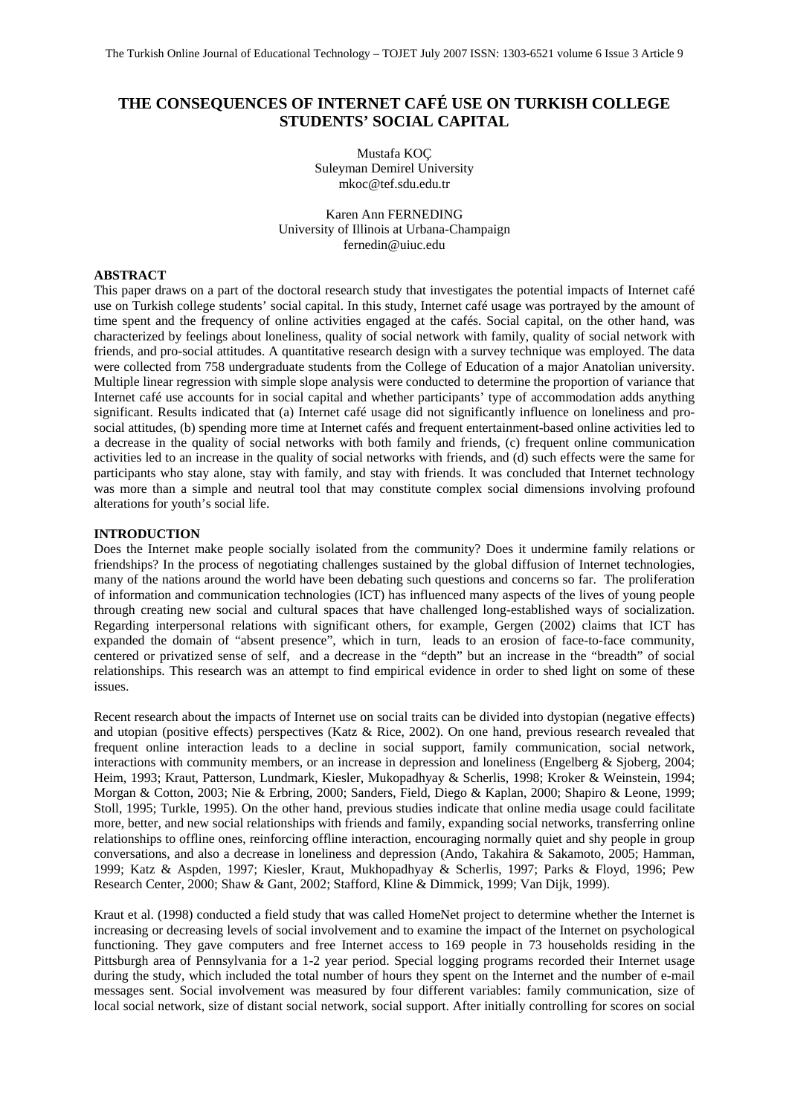# **THE CONSEQUENCES OF INTERNET CAFÉ USE ON TURKISH COLLEGE STUDENTS' SOCIAL CAPITAL**

Mustafa KOÇ Suleyman Demirel University mkoc@tef.sdu.edu.tr

Karen Ann FERNEDING University of Illinois at Urbana-Champaign fernedin@uiuc.edu

# **ABSTRACT**

This paper draws on a part of the doctoral research study that investigates the potential impacts of Internet café use on Turkish college students' social capital. In this study, Internet café usage was portrayed by the amount of time spent and the frequency of online activities engaged at the cafés. Social capital, on the other hand, was characterized by feelings about loneliness, quality of social network with family, quality of social network with friends, and pro-social attitudes. A quantitative research design with a survey technique was employed. The data were collected from 758 undergraduate students from the College of Education of a major Anatolian university. Multiple linear regression with simple slope analysis were conducted to determine the proportion of variance that Internet café use accounts for in social capital and whether participants' type of accommodation adds anything significant. Results indicated that (a) Internet café usage did not significantly influence on loneliness and prosocial attitudes, (b) spending more time at Internet cafés and frequent entertainment-based online activities led to a decrease in the quality of social networks with both family and friends, (c) frequent online communication activities led to an increase in the quality of social networks with friends, and (d) such effects were the same for participants who stay alone, stay with family, and stay with friends. It was concluded that Internet technology was more than a simple and neutral tool that may constitute complex social dimensions involving profound alterations for youth's social life.

#### **INTRODUCTION**

Does the Internet make people socially isolated from the community? Does it undermine family relations or friendships? In the process of negotiating challenges sustained by the global diffusion of Internet technologies, many of the nations around the world have been debating such questions and concerns so far. The proliferation of information and communication technologies (ICT) has influenced many aspects of the lives of young people through creating new social and cultural spaces that have challenged long-established ways of socialization. Regarding interpersonal relations with significant others, for example, Gergen (2002) claims that ICT has expanded the domain of "absent presence", which in turn, leads to an erosion of face-to-face community, centered or privatized sense of self, and a decrease in the "depth" but an increase in the "breadth" of social relationships. This research was an attempt to find empirical evidence in order to shed light on some of these issues.

Recent research about the impacts of Internet use on social traits can be divided into dystopian (negative effects) and utopian (positive effects) perspectives (Katz & Rice, 2002). On one hand, previous research revealed that frequent online interaction leads to a decline in social support, family communication, social network, interactions with community members, or an increase in depression and loneliness (Engelberg & Sjoberg, 2004; Heim, 1993; Kraut, Patterson, Lundmark, Kiesler, Mukopadhyay & Scherlis, 1998; Kroker & Weinstein, 1994; Morgan & Cotton, 2003; Nie & Erbring, 2000; Sanders, Field, Diego & Kaplan, 2000; Shapiro & Leone, 1999; Stoll, 1995; Turkle, 1995). On the other hand, previous studies indicate that online media usage could facilitate more, better, and new social relationships with friends and family, expanding social networks, transferring online relationships to offline ones, reinforcing offline interaction, encouraging normally quiet and shy people in group conversations, and also a decrease in loneliness and depression (Ando, Takahira & Sakamoto, 2005; Hamman, 1999; Katz & Aspden, 1997; Kiesler, Kraut, Mukhopadhyay & Scherlis, 1997; Parks & Floyd, 1996; Pew Research Center, 2000; Shaw & Gant, 2002; Stafford, Kline & Dimmick, 1999; Van Dijk, 1999).

Kraut et al. (1998) conducted a field study that was called HomeNet project to determine whether the Internet is increasing or decreasing levels of social involvement and to examine the impact of the Internet on psychological functioning. They gave computers and free Internet access to 169 people in 73 households residing in the Pittsburgh area of Pennsylvania for a 1-2 year period. Special logging programs recorded their Internet usage during the study, which included the total number of hours they spent on the Internet and the number of e-mail messages sent. Social involvement was measured by four different variables: family communication, size of local social network, size of distant social network, social support. After initially controlling for scores on social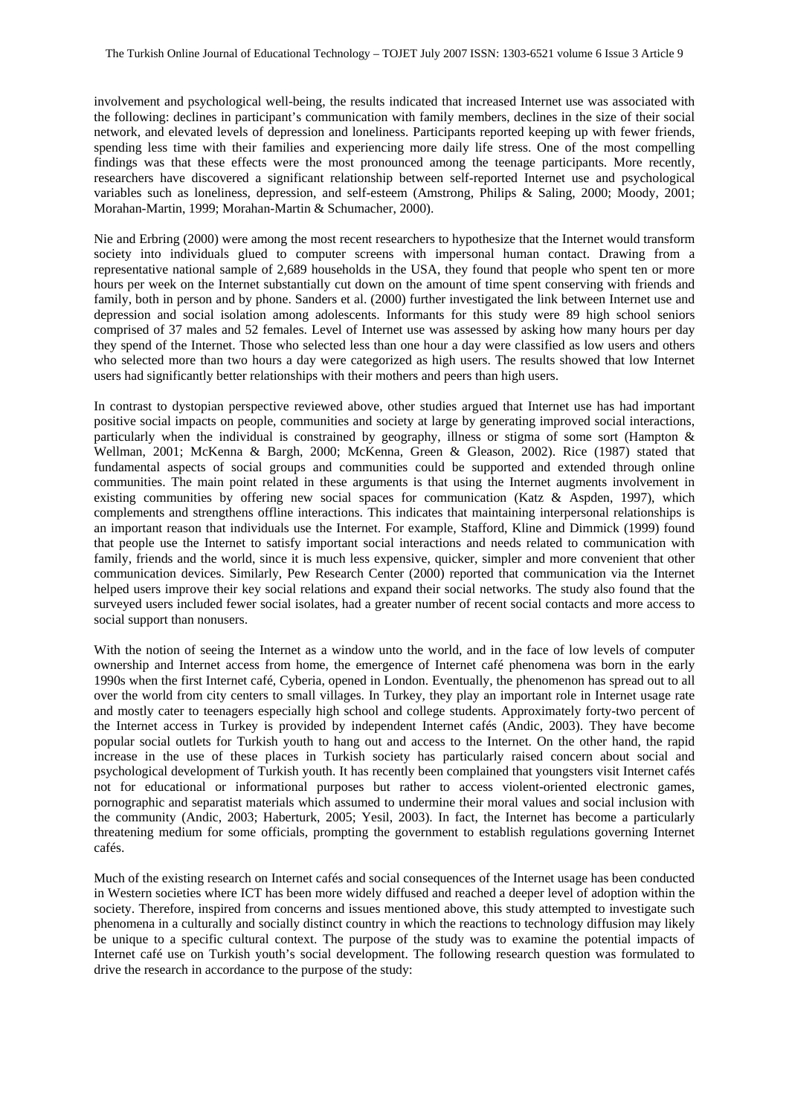involvement and psychological well-being, the results indicated that increased Internet use was associated with the following: declines in participant's communication with family members, declines in the size of their social network, and elevated levels of depression and loneliness. Participants reported keeping up with fewer friends, spending less time with their families and experiencing more daily life stress. One of the most compelling findings was that these effects were the most pronounced among the teenage participants. More recently, researchers have discovered a significant relationship between self-reported Internet use and psychological variables such as loneliness, depression, and self-esteem (Amstrong, Philips & Saling, 2000; Moody, 2001; Morahan-Martin, 1999; Morahan-Martin & Schumacher, 2000).

Nie and Erbring (2000) were among the most recent researchers to hypothesize that the Internet would transform society into individuals glued to computer screens with impersonal human contact. Drawing from a representative national sample of 2,689 households in the USA, they found that people who spent ten or more hours per week on the Internet substantially cut down on the amount of time spent conserving with friends and family, both in person and by phone. Sanders et al. (2000) further investigated the link between Internet use and depression and social isolation among adolescents. Informants for this study were 89 high school seniors comprised of 37 males and 52 females. Level of Internet use was assessed by asking how many hours per day they spend of the Internet. Those who selected less than one hour a day were classified as low users and others who selected more than two hours a day were categorized as high users. The results showed that low Internet users had significantly better relationships with their mothers and peers than high users.

In contrast to dystopian perspective reviewed above, other studies argued that Internet use has had important positive social impacts on people, communities and society at large by generating improved social interactions, particularly when the individual is constrained by geography, illness or stigma of some sort (Hampton & Wellman, 2001; McKenna & Bargh, 2000; McKenna, Green & Gleason, 2002). Rice (1987) stated that fundamental aspects of social groups and communities could be supported and extended through online communities. The main point related in these arguments is that using the Internet augments involvement in existing communities by offering new social spaces for communication (Katz & Aspden, 1997), which complements and strengthens offline interactions. This indicates that maintaining interpersonal relationships is an important reason that individuals use the Internet. For example, Stafford, Kline and Dimmick (1999) found that people use the Internet to satisfy important social interactions and needs related to communication with family, friends and the world, since it is much less expensive, quicker, simpler and more convenient that other communication devices. Similarly, Pew Research Center (2000) reported that communication via the Internet helped users improve their key social relations and expand their social networks. The study also found that the surveyed users included fewer social isolates, had a greater number of recent social contacts and more access to social support than nonusers.

With the notion of seeing the Internet as a window unto the world, and in the face of low levels of computer ownership and Internet access from home, the emergence of Internet café phenomena was born in the early 1990s when the first Internet café, Cyberia, opened in London. Eventually, the phenomenon has spread out to all over the world from city centers to small villages. In Turkey, they play an important role in Internet usage rate and mostly cater to teenagers especially high school and college students. Approximately forty-two percent of the Internet access in Turkey is provided by independent Internet cafés (Andic, 2003). They have become popular social outlets for Turkish youth to hang out and access to the Internet. On the other hand, the rapid increase in the use of these places in Turkish society has particularly raised concern about social and psychological development of Turkish youth. It has recently been complained that youngsters visit Internet cafés not for educational or informational purposes but rather to access violent-oriented electronic games, pornographic and separatist materials which assumed to undermine their moral values and social inclusion with the community (Andic, 2003; Haberturk, 2005; Yesil, 2003). In fact, the Internet has become a particularly threatening medium for some officials, prompting the government to establish regulations governing Internet cafés.

Much of the existing research on Internet cafés and social consequences of the Internet usage has been conducted in Western societies where ICT has been more widely diffused and reached a deeper level of adoption within the society. Therefore, inspired from concerns and issues mentioned above, this study attempted to investigate such phenomena in a culturally and socially distinct country in which the reactions to technology diffusion may likely be unique to a specific cultural context. The purpose of the study was to examine the potential impacts of Internet café use on Turkish youth's social development. The following research question was formulated to drive the research in accordance to the purpose of the study: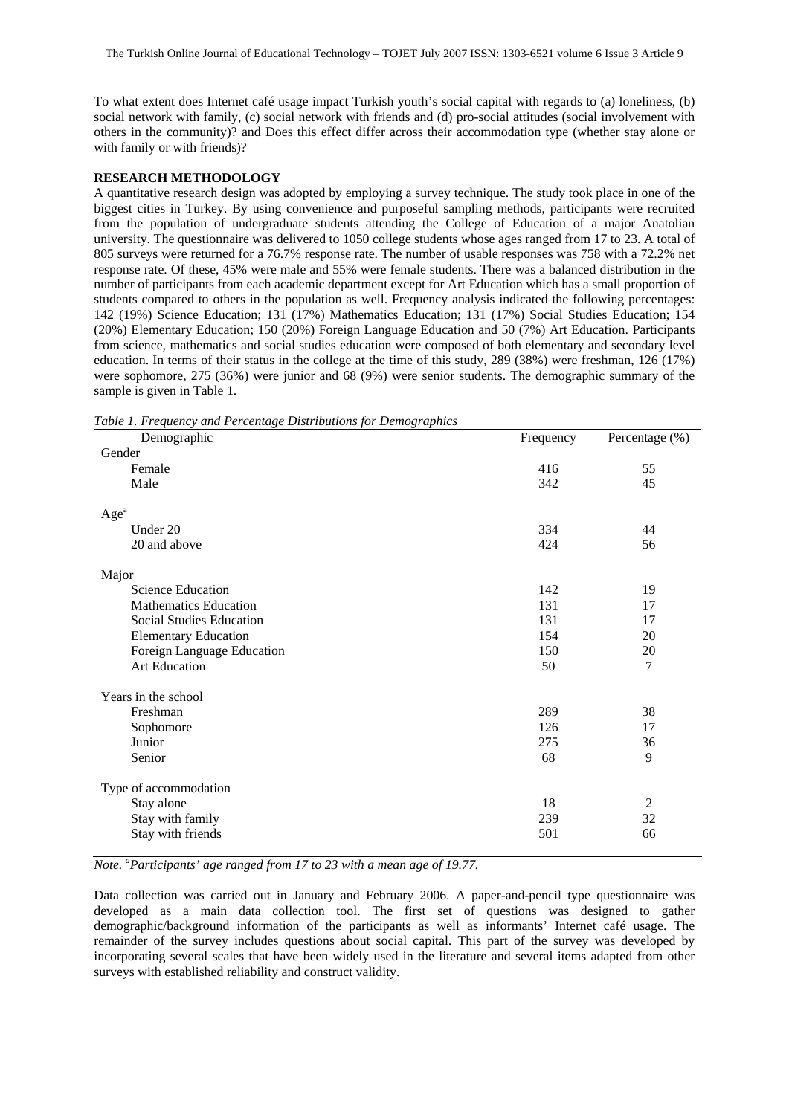To what extent does Internet café usage impact Turkish youth's social capital with regards to (a) loneliness, (b) social network with family, (c) social network with friends and (d) pro-social attitudes (social involvement with others in the community)? and Does this effect differ across their accommodation type (whether stay alone or with family or with friends)?

## **RESEARCH METHODOLOGY**

A quantitative research design was adopted by employing a survey technique. The study took place in one of the biggest cities in Turkey. By using convenience and purposeful sampling methods, participants were recruited from the population of undergraduate students attending the College of Education of a major Anatolian university. The questionnaire was delivered to 1050 college students whose ages ranged from 17 to 23. A total of 805 surveys were returned for a 76.7% response rate. The number of usable responses was 758 with a 72.2% net response rate. Of these, 45% were male and 55% were female students. There was a balanced distribution in the number of participants from each academic department except for Art Education which has a small proportion of students compared to others in the population as well. Frequency analysis indicated the following percentages: 142 (19%) Science Education; 131 (17%) Mathematics Education; 131 (17%) Social Studies Education; 154 (20%) Elementary Education; 150 (20%) Foreign Language Education and 50 (7%) Art Education. Participants from science, mathematics and social studies education were composed of both elementary and secondary level education. In terms of their status in the college at the time of this study, 289 (38%) were freshman, 126 (17%) were sophomore, 275 (36%) were junior and 68 (9%) were senior students. The demographic summary of the sample is given in Table 1.

*Table 1. Frequency and Percentage Distributions for Demographics* 

| adie 1:11 requency and 1 creeninge Distributions for Benio gruphics<br>Demographic | Frequency | Percentage (%) |
|------------------------------------------------------------------------------------|-----------|----------------|
| Gender                                                                             |           |                |
| Female                                                                             | 416       | 55             |
| Male                                                                               | 342       | 45             |
| Age <sup>a</sup>                                                                   |           |                |
| Under 20                                                                           | 334       | 44             |
| 20 and above                                                                       | 424       | 56             |
| Major                                                                              |           |                |
| <b>Science Education</b>                                                           | 142       | 19             |
| <b>Mathematics Education</b>                                                       | 131       | 17             |
| Social Studies Education                                                           | 131       | 17             |
| <b>Elementary Education</b>                                                        | 154       | 20             |
| Foreign Language Education                                                         | 150       | 20             |
| <b>Art Education</b>                                                               | 50        | $\overline{7}$ |
| Years in the school                                                                |           |                |
| Freshman                                                                           | 289       | 38             |
| Sophomore                                                                          | 126       | 17             |
| Junior                                                                             | 275       | 36             |
| Senior                                                                             | 68        | 9              |
| Type of accommodation                                                              |           |                |
| Stay alone                                                                         | 18        | $\overline{2}$ |
| Stay with family                                                                   | 239       | 32             |
| Stay with friends                                                                  | 501       | 66             |

*Note. <sup>a</sup> Participants' age ranged from 17 to 23 with a mean age of 19.77.* 

Data collection was carried out in January and February 2006. A paper-and-pencil type questionnaire was developed as a main data collection tool. The first set of questions was designed to gather demographic/background information of the participants as well as informants' Internet café usage. The remainder of the survey includes questions about social capital. This part of the survey was developed by incorporating several scales that have been widely used in the literature and several items adapted from other surveys with established reliability and construct validity.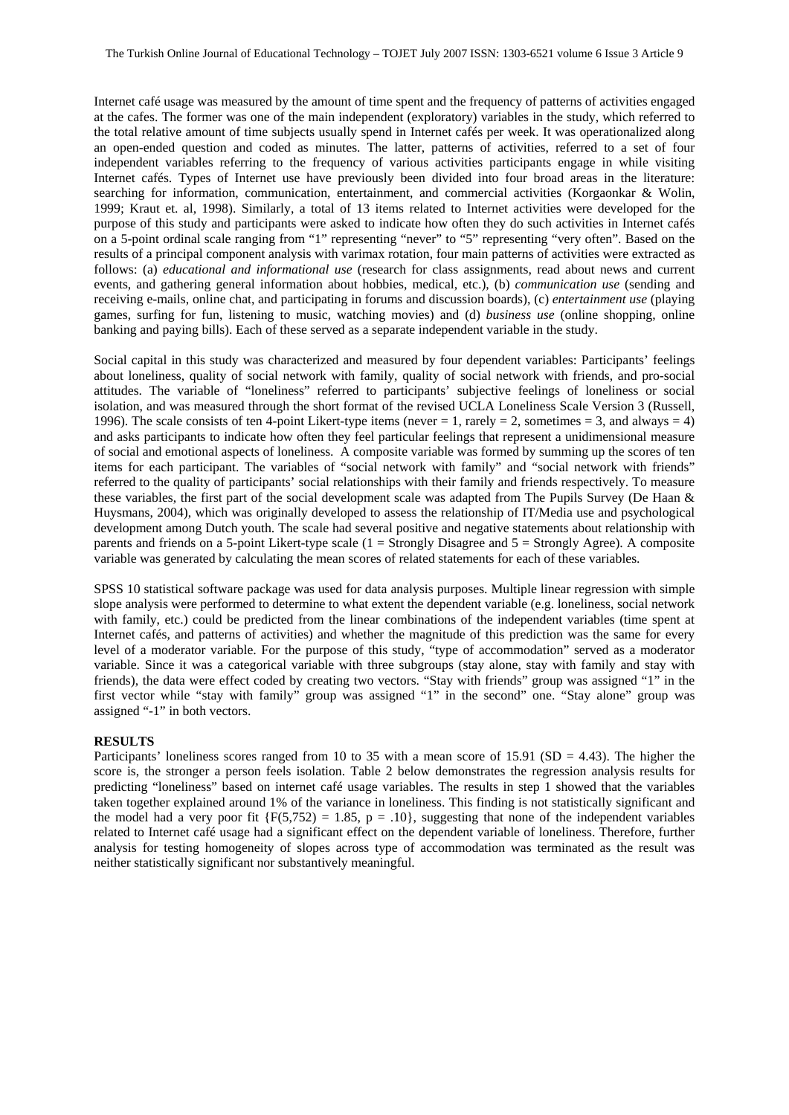Internet café usage was measured by the amount of time spent and the frequency of patterns of activities engaged at the cafes. The former was one of the main independent (exploratory) variables in the study, which referred to the total relative amount of time subjects usually spend in Internet cafés per week. It was operationalized along an open-ended question and coded as minutes. The latter, patterns of activities, referred to a set of four independent variables referring to the frequency of various activities participants engage in while visiting Internet cafés. Types of Internet use have previously been divided into four broad areas in the literature: searching for information, communication, entertainment, and commercial activities (Korgaonkar & Wolin, 1999; Kraut et. al, 1998). Similarly, a total of 13 items related to Internet activities were developed for the purpose of this study and participants were asked to indicate how often they do such activities in Internet cafés on a 5-point ordinal scale ranging from "1" representing "never" to "5" representing "very often". Based on the results of a principal component analysis with varimax rotation, four main patterns of activities were extracted as follows: (a) *educational and informational use* (research for class assignments, read about news and current events, and gathering general information about hobbies, medical, etc.), (b) *communication use* (sending and receiving e-mails, online chat, and participating in forums and discussion boards), (c) *entertainment use* (playing games, surfing for fun, listening to music, watching movies) and (d) *business use* (online shopping, online banking and paying bills). Each of these served as a separate independent variable in the study.

Social capital in this study was characterized and measured by four dependent variables: Participants' feelings about loneliness, quality of social network with family, quality of social network with friends, and pro-social attitudes. The variable of "loneliness" referred to participants' subjective feelings of loneliness or social isolation, and was measured through the short format of the revised UCLA Loneliness Scale Version 3 (Russell, 1996). The scale consists of ten 4-point Likert-type items (never  $= 1$ , rarely  $= 2$ , sometimes  $= 3$ , and always  $= 4$ ) and asks participants to indicate how often they feel particular feelings that represent a unidimensional measure of social and emotional aspects of loneliness. A composite variable was formed by summing up the scores of ten items for each participant. The variables of "social network with family" and "social network with friends" referred to the quality of participants' social relationships with their family and friends respectively. To measure these variables, the first part of the social development scale was adapted from The Pupils Survey (De Haan & Huysmans, 2004), which was originally developed to assess the relationship of IT/Media use and psychological development among Dutch youth. The scale had several positive and negative statements about relationship with parents and friends on a 5-point Likert-type scale (1 = Strongly Disagree and 5 = Strongly Agree). A composite variable was generated by calculating the mean scores of related statements for each of these variables.

SPSS 10 statistical software package was used for data analysis purposes. Multiple linear regression with simple slope analysis were performed to determine to what extent the dependent variable (e.g. loneliness, social network with family, etc.) could be predicted from the linear combinations of the independent variables (time spent at Internet cafés, and patterns of activities) and whether the magnitude of this prediction was the same for every level of a moderator variable. For the purpose of this study, "type of accommodation" served as a moderator variable. Since it was a categorical variable with three subgroups (stay alone, stay with family and stay with friends), the data were effect coded by creating two vectors. "Stay with friends" group was assigned "1" in the first vector while "stay with family" group was assigned "1" in the second" one. "Stay alone" group was assigned "-1" in both vectors.

#### **RESULTS**

Participants' loneliness scores ranged from 10 to 35 with a mean score of 15.91 (SD = 4.43). The higher the score is, the stronger a person feels isolation. Table 2 below demonstrates the regression analysis results for predicting "loneliness" based on internet café usage variables. The results in step 1 showed that the variables taken together explained around 1% of the variance in loneliness. This finding is not statistically significant and the model had a very poor fit  $\{F(5,752) = 1.85, p = .10\}$ , suggesting that none of the independent variables related to Internet café usage had a significant effect on the dependent variable of loneliness. Therefore, further analysis for testing homogeneity of slopes across type of accommodation was terminated as the result was neither statistically significant nor substantively meaningful.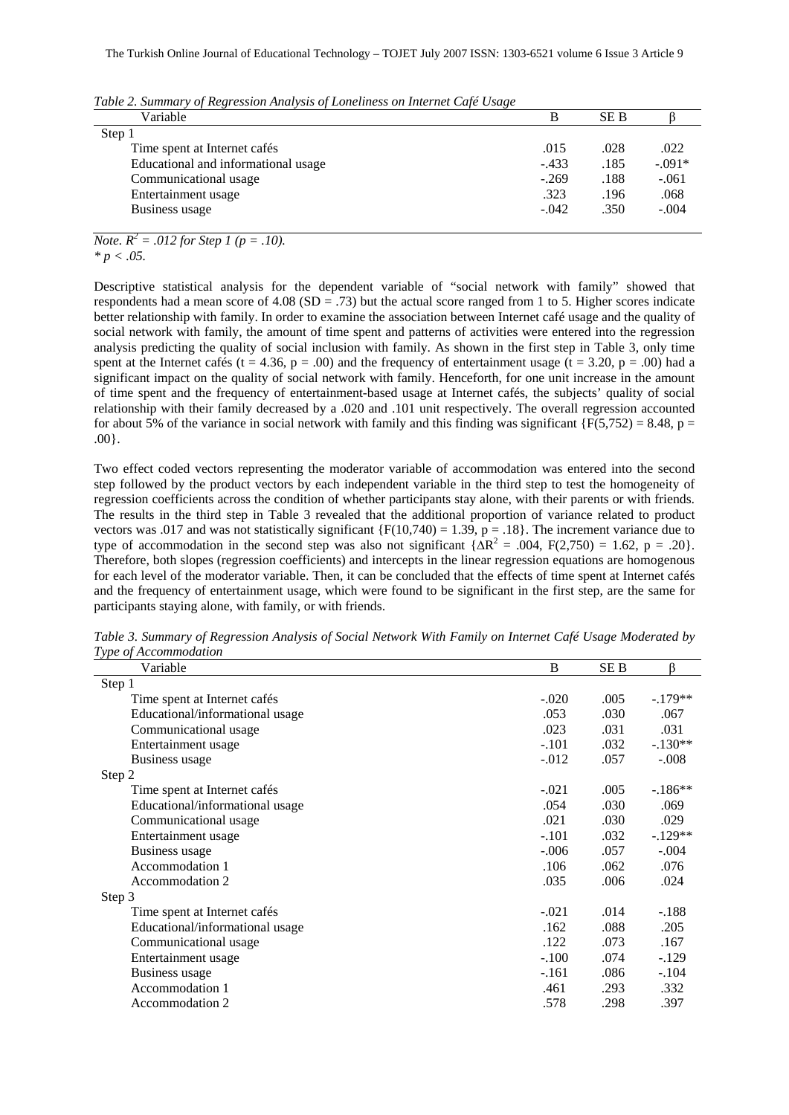| Variable                            |         | SE B |          |
|-------------------------------------|---------|------|----------|
| Step 1                              |         |      |          |
| Time spent at Internet cafés        | .015    | .028 | .022     |
| Educational and informational usage | $-.433$ | .185 | $-.091*$ |
| Communicational usage               | $-.269$ | .188 | $-.061$  |
| Entertainment usage                 | .323    | .196 | .068     |
| Business usage                      | $-.042$ | .350 | $-.004$  |

*Table 2. Summary of Regression Analysis of Loneliness on Internet Café Usage* 

*Note.*  $R^2 = .012$  *for Step 1 (p = .10). \* p < .05.* 

Descriptive statistical analysis for the dependent variable of "social network with family" showed that respondents had a mean score of  $4.08$  (SD = .73) but the actual score ranged from 1 to 5. Higher scores indicate better relationship with family. In order to examine the association between Internet café usage and the quality of social network with family, the amount of time spent and patterns of activities were entered into the regression analysis predicting the quality of social inclusion with family. As shown in the first step in Table 3, only time spent at the Internet cafés (t = 4.36, p = .00) and the frequency of entertainment usage (t = 3.20, p = .00) had a significant impact on the quality of social network with family. Henceforth, for one unit increase in the amount of time spent and the frequency of entertainment-based usage at Internet cafés, the subjects' quality of social relationship with their family decreased by a .020 and .101 unit respectively. The overall regression accounted for about 5% of the variance in social network with family and this finding was significant {F(5,752) = 8.48, p = .00}.

Two effect coded vectors representing the moderator variable of accommodation was entered into the second step followed by the product vectors by each independent variable in the third step to test the homogeneity of regression coefficients across the condition of whether participants stay alone, with their parents or with friends. The results in the third step in Table 3 revealed that the additional proportion of variance related to product vectors was .017 and was not statistically significant {F(10,740) = 1.39, p = .18}. The increment variance due to type of accommodation in the second step was also not significant  $\{\overline{\Delta R^2} = .004, F(2,750) = 1.62, p = .20\}$ . Therefore, both slopes (regression coefficients) and intercepts in the linear regression equations are homogenous for each level of the moderator variable. Then, it can be concluded that the effects of time spent at Internet cafés and the frequency of entertainment usage, which were found to be significant in the first step, are the same for participants staying alone, with family, or with friends.

| Variable                        | B       | SE B | ß         |
|---------------------------------|---------|------|-----------|
| Step 1                          |         |      |           |
| Time spent at Internet cafés    | $-.020$ | .005 | $-.179**$ |
| Educational/informational usage | .053    | .030 | .067      |
| Communicational usage           | .023    | .031 | .031      |
| Entertainment usage             | $-.101$ | .032 | $-.130**$ |
| Business usage                  | $-.012$ | .057 | $-.008$   |
| Step 2                          |         |      |           |
| Time spent at Internet cafés    | $-.021$ | .005 | $-186**$  |
| Educational/informational usage | .054    | .030 | .069      |
| Communicational usage           | .021    | .030 | .029      |
| Entertainment usage             | $-.101$ | .032 | $-129**$  |
| Business usage                  | $-.006$ | .057 | $-.004$   |
| Accommodation 1                 | .106    | .062 | .076      |
| Accommodation 2                 | .035    | .006 | .024      |
| Step 3                          |         |      |           |
| Time spent at Internet cafés    | $-.021$ | .014 | $-.188$   |
| Educational/informational usage | .162    | .088 | .205      |
| Communicational usage           | .122    | .073 | .167      |
| Entertainment usage             | $-.100$ | .074 | $-129$    |
| Business usage                  | $-.161$ | .086 | $-.104$   |
| Accommodation 1                 | .461    | .293 | .332      |
| Accommodation 2                 | .578    | .298 | .397      |

*Table 3. Summary of Regression Analysis of Social Network With Family on Internet Café Usage Moderated by Type of Accommodation*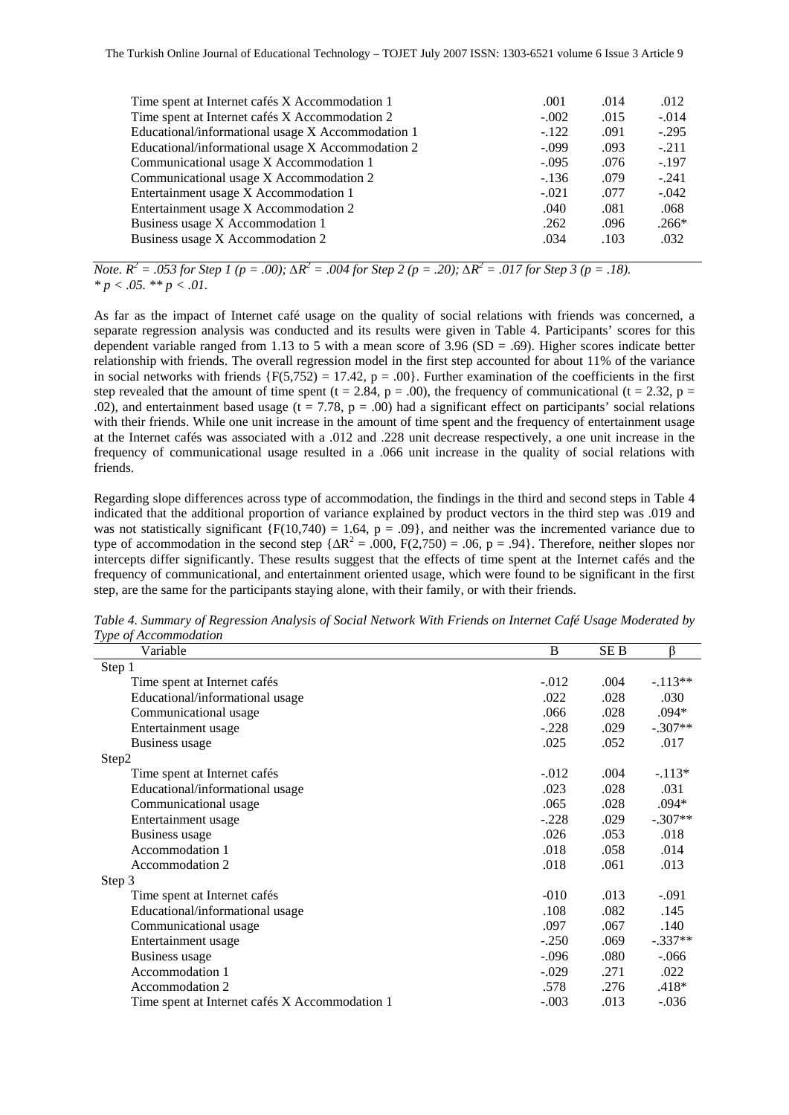| Time spent at Internet cafés X Accommodation 1    | .001    | .014 | .012    |
|---------------------------------------------------|---------|------|---------|
| Time spent at Internet cafés X Accommodation 2    | $-.002$ | .015 | $-.014$ |
| Educational/informational usage X Accommodation 1 | $-122$  | .091 | $-.295$ |
| Educational/informational usage X Accommodation 2 | $-.099$ | .093 | $-.211$ |
| Communicational usage X Accommodation 1           | $-.095$ | .076 | $-.197$ |
| Communicational usage X Accommodation 2           | $-.136$ | .079 | $-.241$ |
| Entertainment usage X Accommodation 1             | $-.021$ | .077 | $-.042$ |
| Entertainment usage X Accommodation 2             | .040    | .081 | .068    |
| Business usage X Accommodation 1                  | .262    | .096 | $.266*$ |
| Business usage X Accommodation 2                  | .034    | .103 | .032    |
|                                                   |         |      |         |

*Note.*  $R^2 = .053$  for Step 1 (p = .00);  $\Delta R^2 = .004$  for Step 2 (p = .20);  $\Delta R^2 = .017$  for Step 3 (p = .18). *\* p < .05. \*\* p < .01.* 

As far as the impact of Internet café usage on the quality of social relations with friends was concerned, a separate regression analysis was conducted and its results were given in Table 4. Participants' scores for this dependent variable ranged from 1.13 to 5 with a mean score of 3.96 (SD = .69). Higher scores indicate better relationship with friends. The overall regression model in the first step accounted for about 11% of the variance in social networks with friends  ${F(5,752) = 17.42, p = .00}$ . Further examination of the coefficients in the first step revealed that the amount of time spent (t = 2.84, p = .00), the frequency of communicational (t = 2.32, p = .02), and entertainment based usage ( $t = 7.78$ ,  $p = .00$ ) had a significant effect on participants' social relations with their friends. While one unit increase in the amount of time spent and the frequency of entertainment usage at the Internet cafés was associated with a .012 and .228 unit decrease respectively, a one unit increase in the frequency of communicational usage resulted in a .066 unit increase in the quality of social relations with friends.

Regarding slope differences across type of accommodation, the findings in the third and second steps in Table 4 indicated that the additional proportion of variance explained by product vectors in the third step was .019 and was not statistically significant  ${F(10,740) = 1.64, p = .09}$ , and neither was the incremented variance due to type of accommodation in the second step  $\{\Delta R^2 = 0.00, F(2,750) = 0.06, p = 0.94\}$ . Therefore, neither slopes nor intercepts differ significantly. These results suggest that the effects of time spent at the Internet cafés and the frequency of communicational, and entertainment oriented usage, which were found to be significant in the first step, are the same for the participants staying alone, with their family, or with their friends.

| Variable                                       | B       | SE B | ß         |
|------------------------------------------------|---------|------|-----------|
| Step 1                                         |         |      |           |
| Time spent at Internet cafés                   | $-.012$ | .004 | $-.113**$ |
| Educational/informational usage                | .022    | .028 | .030      |
| Communicational usage                          | .066    | .028 | $.094*$   |
| Entertainment usage                            | $-.228$ | .029 | $-.307**$ |
| <b>Business</b> usage                          | .025    | .052 | .017      |
| Step2                                          |         |      |           |
| Time spent at Internet cafés                   | $-.012$ | .004 | $-113*$   |
| Educational/informational usage                | .023    | .028 | .031      |
| Communicational usage                          | .065    | .028 | .094*     |
| Entertainment usage                            | $-.228$ | .029 | $-.307**$ |
| Business usage                                 | .026    | .053 | .018      |
| Accommodation 1                                | .018    | .058 | .014      |
| Accommodation 2                                | .018    | .061 | .013      |
| Step 3                                         |         |      |           |
| Time spent at Internet cafés                   | $-010$  | .013 | $-.091$   |
| Educational/informational usage                | .108    | .082 | .145      |
| Communicational usage                          | .097    | .067 | .140      |
| Entertainment usage                            | $-.250$ | .069 | $-.337**$ |
| Business usage                                 | $-.096$ | .080 | $-.066$   |
| Accommodation 1                                | $-.029$ | .271 | .022      |
| Accommodation 2                                | .578    | .276 | $.418*$   |
| Time spent at Internet cafés X Accommodation 1 | $-.003$ | .013 | $-.036$   |

*Table 4. Summary of Regression Analysis of Social Network With Friends on Internet Café Usage Moderated by Type of Accommodation*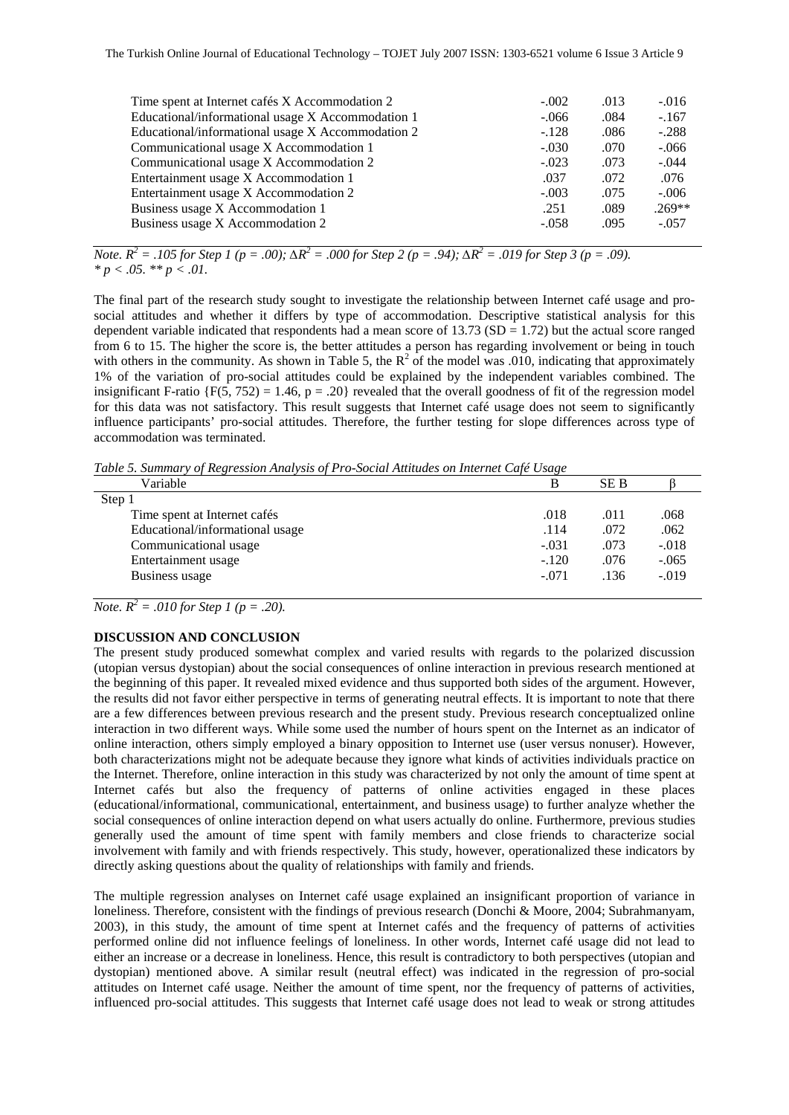| Time spent at Internet cafés X Accommodation 2    | $-.002$ | .013 | $-.016$  |
|---------------------------------------------------|---------|------|----------|
| Educational/informational usage X Accommodation 1 | $-.066$ | .084 | $-.167$  |
| Educational/informational usage X Accommodation 2 | $-.128$ | .086 | $-.288$  |
| Communicational usage X Accommodation 1           | $-.030$ | .070 | $-.066$  |
| Communicational usage X Accommodation 2           | $-.023$ | .073 | $-.044$  |
| Entertainment usage X Accommodation 1             | .037    | .072 | .076     |
| Entertainment usage X Accommodation 2             | $-.003$ | .075 | $-.006$  |
| Business usage X Accommodation 1                  | .251    | .089 | $.269**$ |
| Business usage X Accommodation 2                  | $-.058$ | .095 | $-.057$  |
|                                                   |         |      |          |

*Note.*  $R^2 = .105$  for Step 1 (p = .00);  $\Delta R^2 = .000$  for Step 2 (p = .94);  $\Delta R^2 = .019$  for Step 3 (p = .09). *\* p < .05. \*\* p < .01.* 

The final part of the research study sought to investigate the relationship between Internet café usage and prosocial attitudes and whether it differs by type of accommodation. Descriptive statistical analysis for this dependent variable indicated that respondents had a mean score of  $13.73$  (SD = 1.72) but the actual score ranged from 6 to 15. The higher the score is, the better attitudes a person has regarding involvement or being in touch with others in the community. As shown in Table 5, the  $R^2$  of the model was .010, indicating that approximately 1% of the variation of pro-social attitudes could be explained by the independent variables combined. The insignificant F-ratio  ${F(5, 752) = 1.46, p = .20}$  revealed that the overall goodness of fit of the regression model for this data was not satisfactory. This result suggests that Internet café usage does not seem to significantly influence participants' pro-social attitudes. Therefore, the further testing for slope differences across type of accommodation was terminated.

*Table 5. Summary of Regression Analysis of Pro-Social Attitudes on Internet Café Usage* 

| Variable                        | В       | SE B |         |
|---------------------------------|---------|------|---------|
| Step 1                          |         |      |         |
| Time spent at Internet cafés    | .018    | .011 | .068    |
| Educational/informational usage | .114    | .072 | .062    |
| Communicational usage           | $-.031$ | .073 | $-.018$ |
| Entertainment usage             | $-.120$ | .076 | $-.065$ |
| Business usage                  | $-.071$ | .136 | $-.019$ |

*Note.*  $R^2 = .010$  for Step 1 (p = .20).

## **DISCUSSION AND CONCLUSION**

The present study produced somewhat complex and varied results with regards to the polarized discussion (utopian versus dystopian) about the social consequences of online interaction in previous research mentioned at the beginning of this paper. It revealed mixed evidence and thus supported both sides of the argument. However, the results did not favor either perspective in terms of generating neutral effects. It is important to note that there are a few differences between previous research and the present study. Previous research conceptualized online interaction in two different ways. While some used the number of hours spent on the Internet as an indicator of online interaction, others simply employed a binary opposition to Internet use (user versus nonuser). However, both characterizations might not be adequate because they ignore what kinds of activities individuals practice on the Internet. Therefore, online interaction in this study was characterized by not only the amount of time spent at Internet cafés but also the frequency of patterns of online activities engaged in these places (educational/informational, communicational, entertainment, and business usage) to further analyze whether the social consequences of online interaction depend on what users actually do online. Furthermore, previous studies generally used the amount of time spent with family members and close friends to characterize social involvement with family and with friends respectively. This study, however, operationalized these indicators by directly asking questions about the quality of relationships with family and friends.

The multiple regression analyses on Internet café usage explained an insignificant proportion of variance in loneliness. Therefore, consistent with the findings of previous research (Donchi & Moore, 2004; Subrahmanyam, 2003), in this study, the amount of time spent at Internet cafés and the frequency of patterns of activities performed online did not influence feelings of loneliness. In other words, Internet café usage did not lead to either an increase or a decrease in loneliness. Hence, this result is contradictory to both perspectives (utopian and dystopian) mentioned above. A similar result (neutral effect) was indicated in the regression of pro-social attitudes on Internet café usage. Neither the amount of time spent, nor the frequency of patterns of activities, influenced pro-social attitudes. This suggests that Internet café usage does not lead to weak or strong attitudes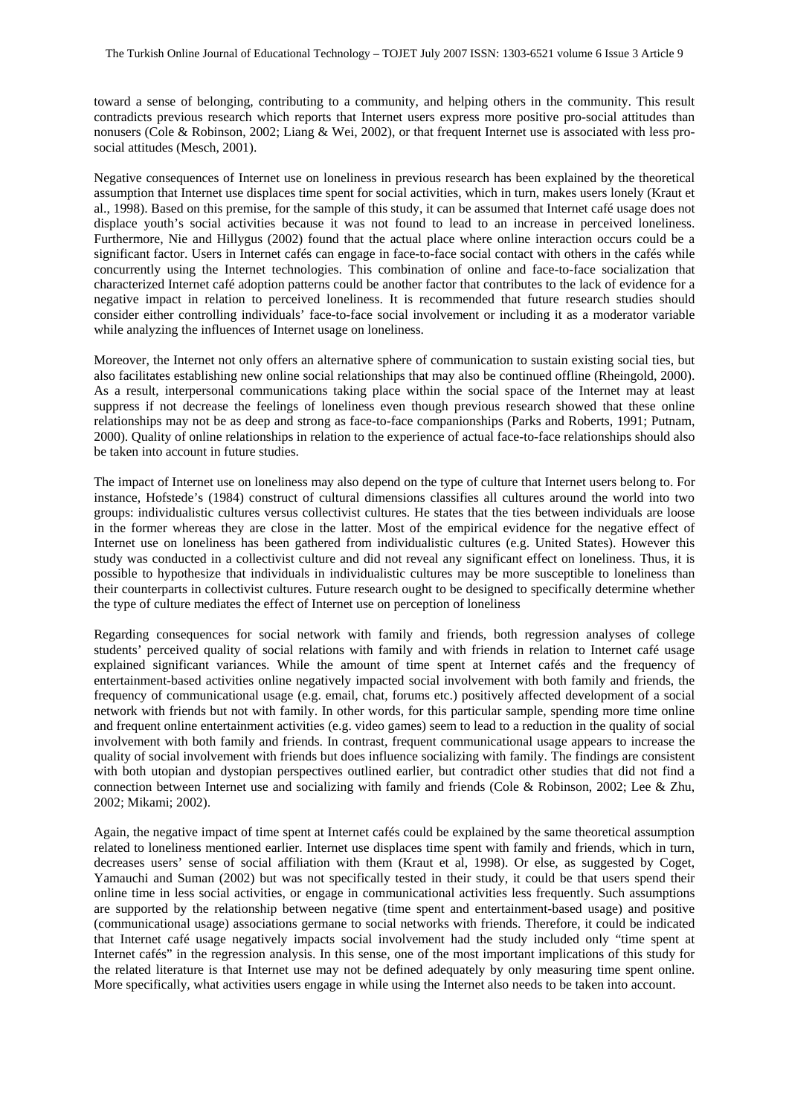toward a sense of belonging, contributing to a community, and helping others in the community. This result contradicts previous research which reports that Internet users express more positive pro-social attitudes than nonusers (Cole & Robinson, 2002; Liang & Wei, 2002), or that frequent Internet use is associated with less prosocial attitudes (Mesch, 2001).

Negative consequences of Internet use on loneliness in previous research has been explained by the theoretical assumption that Internet use displaces time spent for social activities, which in turn, makes users lonely (Kraut et al., 1998). Based on this premise, for the sample of this study, it can be assumed that Internet café usage does not displace youth's social activities because it was not found to lead to an increase in perceived loneliness. Furthermore, Nie and Hillygus (2002) found that the actual place where online interaction occurs could be a significant factor. Users in Internet cafés can engage in face-to-face social contact with others in the cafés while concurrently using the Internet technologies. This combination of online and face-to-face socialization that characterized Internet café adoption patterns could be another factor that contributes to the lack of evidence for a negative impact in relation to perceived loneliness. It is recommended that future research studies should consider either controlling individuals' face-to-face social involvement or including it as a moderator variable while analyzing the influences of Internet usage on loneliness.

Moreover, the Internet not only offers an alternative sphere of communication to sustain existing social ties, but also facilitates establishing new online social relationships that may also be continued offline (Rheingold, 2000). As a result, interpersonal communications taking place within the social space of the Internet may at least suppress if not decrease the feelings of loneliness even though previous research showed that these online relationships may not be as deep and strong as face-to-face companionships (Parks and Roberts, 1991; Putnam, 2000). Quality of online relationships in relation to the experience of actual face-to-face relationships should also be taken into account in future studies.

The impact of Internet use on loneliness may also depend on the type of culture that Internet users belong to. For instance, Hofstede's (1984) construct of cultural dimensions classifies all cultures around the world into two groups: individualistic cultures versus collectivist cultures. He states that the ties between individuals are loose in the former whereas they are close in the latter. Most of the empirical evidence for the negative effect of Internet use on loneliness has been gathered from individualistic cultures (e.g. United States). However this study was conducted in a collectivist culture and did not reveal any significant effect on loneliness. Thus, it is possible to hypothesize that individuals in individualistic cultures may be more susceptible to loneliness than their counterparts in collectivist cultures. Future research ought to be designed to specifically determine whether the type of culture mediates the effect of Internet use on perception of loneliness

Regarding consequences for social network with family and friends, both regression analyses of college students' perceived quality of social relations with family and with friends in relation to Internet café usage explained significant variances. While the amount of time spent at Internet cafés and the frequency of entertainment-based activities online negatively impacted social involvement with both family and friends, the frequency of communicational usage (e.g. email, chat, forums etc.) positively affected development of a social network with friends but not with family. In other words, for this particular sample, spending more time online and frequent online entertainment activities (e.g. video games) seem to lead to a reduction in the quality of social involvement with both family and friends. In contrast, frequent communicational usage appears to increase the quality of social involvement with friends but does influence socializing with family. The findings are consistent with both utopian and dystopian perspectives outlined earlier, but contradict other studies that did not find a connection between Internet use and socializing with family and friends (Cole & Robinson, 2002; Lee & Zhu, 2002; Mikami; 2002).

Again, the negative impact of time spent at Internet cafés could be explained by the same theoretical assumption related to loneliness mentioned earlier. Internet use displaces time spent with family and friends, which in turn, decreases users' sense of social affiliation with them (Kraut et al, 1998). Or else, as suggested by Coget, Yamauchi and Suman (2002) but was not specifically tested in their study, it could be that users spend their online time in less social activities, or engage in communicational activities less frequently. Such assumptions are supported by the relationship between negative (time spent and entertainment-based usage) and positive (communicational usage) associations germane to social networks with friends. Therefore, it could be indicated that Internet café usage negatively impacts social involvement had the study included only "time spent at Internet cafés" in the regression analysis. In this sense, one of the most important implications of this study for the related literature is that Internet use may not be defined adequately by only measuring time spent online. More specifically, what activities users engage in while using the Internet also needs to be taken into account.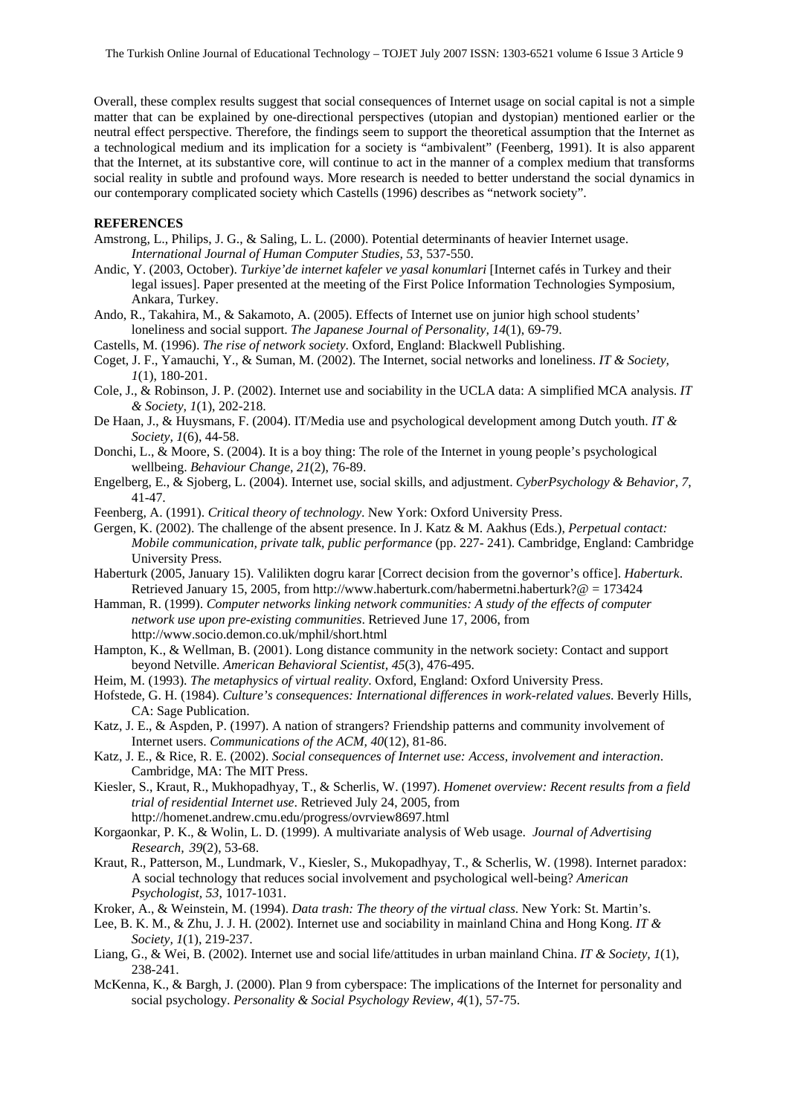Overall, these complex results suggest that social consequences of Internet usage on social capital is not a simple matter that can be explained by one-directional perspectives (utopian and dystopian) mentioned earlier or the neutral effect perspective. Therefore, the findings seem to support the theoretical assumption that the Internet as a technological medium and its implication for a society is "ambivalent" (Feenberg, 1991). It is also apparent that the Internet, at its substantive core, will continue to act in the manner of a complex medium that transforms social reality in subtle and profound ways. More research is needed to better understand the social dynamics in our contemporary complicated society which Castells (1996) describes as "network society".

#### **REFERENCES**

- Amstrong, L., Philips, J. G., & Saling, L. L. (2000). Potential determinants of heavier Internet usage. *International Journal of Human Computer Studies, 53*, 537-550.
- Andic, Y. (2003, October). *Turkiye'de internet kafeler ve yasal konumlari* [Internet cafés in Turkey and their legal issues]. Paper presented at the meeting of the First Police Information Technologies Symposium, Ankara, Turkey.
- Ando, R., Takahira, M., & Sakamoto, A. (2005). Effects of Internet use on junior high school students' loneliness and social support. *The Japanese Journal of Personality, 14*(1), 69-79.
- Castells, M. (1996). *The rise of network society*. Oxford, England: Blackwell Publishing.
- Coget, J. F., Yamauchi, Y., & Suman, M. (2002). The Internet, social networks and loneliness. *IT & Society, 1*(1), 180-201.
- Cole, J., & Robinson, J. P. (2002). Internet use and sociability in the UCLA data: A simplified MCA analysis. *IT & Society, 1*(1), 202-218.
- De Haan, J., & Huysmans, F. (2004). IT/Media use and psychological development among Dutch youth. *IT & Society, 1*(6), 44-58.
- Donchi, L., & Moore, S. (2004). It is a boy thing: The role of the Internet in young people's psychological wellbeing. *Behaviour Change, 21*(2), 76-89.
- Engelberg, E., & Sjoberg, L. (2004). Internet use, social skills, and adjustment. *CyberPsychology & Behavior, 7*, 41-47.
- Feenberg, A. (1991). *Critical theory of technology*. New York: Oxford University Press.
- Gergen, K. (2002). The challenge of the absent presence. In J. Katz & M. Aakhus (Eds.), *Perpetual contact: Mobile communication, private talk, public performance* (pp. 227- 241). Cambridge, England: Cambridge University Press.
- Haberturk (2005, January 15). Valilikten dogru karar [Correct decision from the governor's office]. *Haberturk*. Retrieved January 15, 2005, from http://www.haberturk.com/habermetni.haberturk?@ = 173424
- Hamman, R. (1999). *Computer networks linking network communities: A study of the effects of computer network use upon pre-existing communities*. Retrieved June 17, 2006, from http://www.socio.demon.co.uk/mphil/short.html
- Hampton, K., & Wellman, B. (2001). Long distance community in the network society: Contact and support beyond Netville. *American Behavioral Scientist, 45*(3), 476-495.
- Heim, M. (1993). *The metaphysics of virtual reality*. Oxford, England: Oxford University Press.
- Hofstede, G. H. (1984). *Culture's consequences: International differences in work-related values*. Beverly Hills, CA: Sage Publication.
- Katz, J. E., & Aspden, P. (1997). A nation of strangers? Friendship patterns and community involvement of Internet users. *Communications of the ACM, 40*(12), 81-86.
- Katz, J. E., & Rice, R. E. (2002). *Social consequences of Internet use: Access, involvement and interaction*. Cambridge, MA: The MIT Press.
- Kiesler, S., Kraut, R., Mukhopadhyay, T., & Scherlis, W. (1997). *Homenet overview: Recent results from a field trial of residential Internet use*. Retrieved July 24, 2005, from http://homenet.andrew.cmu.edu/progress/ovrview8697.html
- Korgaonkar, P. K., & Wolin, L. D. (1999). A multivariate analysis of Web usage. *Journal of Advertising Research, 39*(2), 53-68.
- Kraut, R., Patterson, M., Lundmark, V., Kiesler, S., Mukopadhyay, T., & Scherlis, W. (1998). Internet paradox: A social technology that reduces social involvement and psychological well-being? *American Psychologist, 53*, 1017-1031.
- Kroker, A., & Weinstein, M. (1994). *Data trash: The theory of the virtual class*. New York: St. Martin's.
- Lee, B. K. M., & Zhu, J. J. H. (2002). Internet use and sociability in mainland China and Hong Kong. *IT & Society, 1*(1), 219-237.
- Liang, G., & Wei, B. (2002). Internet use and social life/attitudes in urban mainland China. *IT & Society, 1*(1), 238-241.
- McKenna, K., & Bargh, J. (2000). Plan 9 from cyberspace: The implications of the Internet for personality and social psychology. *Personality & Social Psychology Review, 4*(1), 57-75.